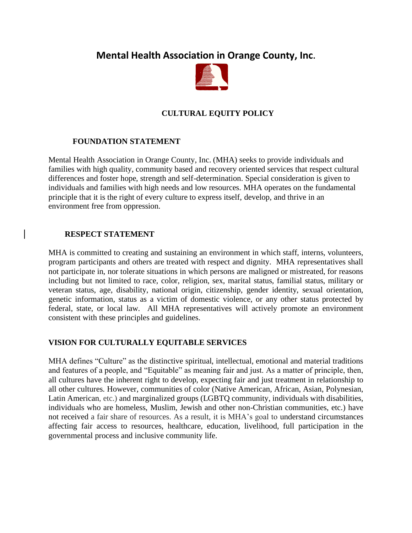# **Mental Health Association in Orange County, Inc.**



## **CULTURAL EQUITY POLICY**

#### **FOUNDATION STATEMENT**

Mental Health Association in Orange County, Inc. (MHA) seeks to provide individuals and families with high quality, community based and recovery oriented services that respect cultural differences and foster hope, strength and self-determination. Special consideration is given to individuals and families with high needs and low resources. MHA operates on the fundamental principle that it is the right of every culture to express itself, develop, and thrive in an environment free from oppression.

#### **RESPECT STATEMENT**

MHA is committed to creating and sustaining an environment in which staff, interns, volunteers, program participants and others are treated with respect and dignity. MHA representatives shall not participate in, nor tolerate situations in which persons are maligned or mistreated, for reasons including but not limited to race, color, religion, sex, marital status, familial status, military or veteran status, age, disability, national origin, citizenship, gender identity, sexual orientation, genetic information, status as a victim of domestic violence, or any other status protected by federal, state, or local law. All MHA representatives will actively promote an environment consistent with these principles and guidelines.

### **VISION FOR CULTURALLY EQUITABLE SERVICES**

MHA defines "Culture" as the distinctive spiritual, intellectual, emotional and material traditions and features of a people, and "Equitable" as meaning fair and just. As a matter of principle, then, all cultures have the inherent right to develop, expecting fair and just treatment in relationship to all other cultures. However, communities of color [\(Native American,](http://wzus1.ask.com/r?t=p&d=us&s=a&c=a&app=a16&dqi=&askid=&l=dir&o=102140&oo=0&sv=0a5cabe3&ip=327a949a&id=8E7C05841B92B21B760D89DD6DA02512&q=Different+Cultures+in+America&p=1&qs=6&ac=1067&g=25a5%25WdkrFAYtO&vc=3&ocq=0&ocp=0&ocu=0&ocf=0&qa1=1067&cu.wz=0&en=nwsa&io=1&b=a001&tp=d&ec=1&ex=&pt=Native%20American&u=http%3A%2F%2Fwww.ask.com%2Fallabout%3Fq%3DNative%20Americans%20in%20the%20United%20States%26qsrc%3D470) [African,](http://www.ask.com/allabout?q=African%20American&qsrc=470) [Asian,](http://www.ask.com/allabout?q=Asian%20American&qsrc=470) [Polynesian,](http://www.ask.com/allabout?q=Polynesian%20culture&qsrc=470) [Latin American](http://www.ask.com/allabout?q=Latin%20America&qsrc=470), etc.) and marginalized groups (LGBTQ community, individuals with disabilities, individuals who are homeless, Muslim, Jewish and other non-Christian communities, etc.) have not received a fair share of resources. As a result, it is MHA's goal to understand circumstances affecting fair access to resources, healthcare, education, livelihood, full participation in the governmental process and inclusive community life.